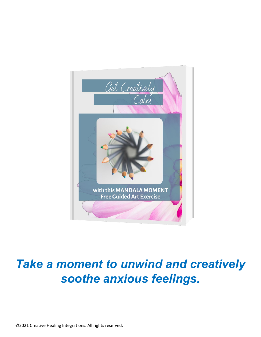

# *Take a moment to unwind and creatively soothe anxious feelings.*

©2021 Creative Healing Integrations. All rights reserved.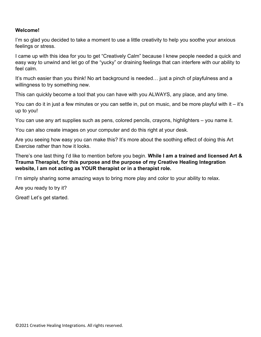#### **Welcome!**

I'm so glad you decided to take a moment to use a little creativity to help you soothe your anxious feelings or stress.

I came up with this idea for you to get "Creatively Calm" because I knew people needed a quick and easy way to unwind and let go of the "yucky" or draining feelings that can interfere with our ability to feel calm.

It's much easier than you think! No art background is needed… just a pinch of playfulness and a willingness to try something new.

This can quickly become a tool that you can have with you ALWAYS, any place, and any time.

You can do it in just a few minutes or you can settle in, put on music, and be more playful with it – it's up to you!

You can use any art supplies such as pens, colored pencils, crayons, highlighters – you name it.

You can also create images on your computer and do this right at your desk.

Are you seeing how easy you can make this? It's more about the soothing effect of doing this Art Exercise rather than how it looks.

There's one last thing I'd like to mention before you begin. **While I am a trained and licensed Art & Trauma Therapist, for this purpose and the purpose of my Creative Healing Integration website, I am not acting as YOUR therapist or in a therapist role.**

I'm simply sharing some amazing ways to bring more play and color to your ability to relax.

Are you ready to try it?

Great! Let's get started.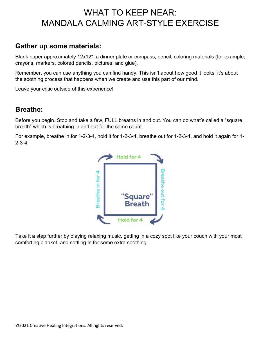# WHAT TO KEEP NEAR: MANDALA CALMING ART-STYLE EXERCISE

### **Gather up some materials:**

Blank paper approximately 12x12", a dinner plate or compass, pencil, coloring materials (for example, crayons, markers, colored pencils, pictures, and glue).

Remember, you can use anything you can find handy. This isn't about how good it looks, it's about the soothing process that happens when we create and use this part of our mind.

Leave your critic outside of this experience!

#### **Breathe:**

Before you begin. Stop and take a few, FULL breaths in and out. You can do what's called a "square breath" which is breathing in and out for the same count.

For example, breathe in for 1-2-3-4, hold it for 1-2-3-4, breathe out for 1-2-3-4, and hold it again for 1-  $2 - 3 - 4$ .



Take it a step further by playing relaxing music, getting in a cozy spot like your couch with your most comforting blanket, and settling in for some extra soothing.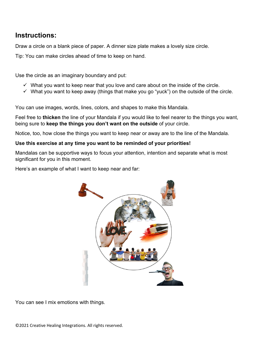## **Instructions:**

Draw a circle on a blank piece of paper. A dinner size plate makes a lovely size circle.

Tip: You can make circles ahead of time to keep on hand.

Use the circle as an imaginary boundary and put:

- $\checkmark$  What you want to keep near that you love and care about on the inside of the circle.
- $\checkmark$  What you want to keep away (things that make you go "yuck") on the outside of the circle.

You can use images, words, lines, colors, and shapes to make this Mandala.

Feel free to **thicken** the line of your Mandala if you would like to feel nearer to the things you want, being sure to **keep the things you don't want on the outside** of your circle.

Notice, too, how close the things you want to keep near or away are to the line of the Mandala.

#### **Use this exercise at any time you want to be reminded of your priorities!**

Mandalas can be supportive ways to focus your attention, intention and separate what is most significant for you in this moment.

Here's an example of what I want to keep near and far:



You can see I mix emotions with things.